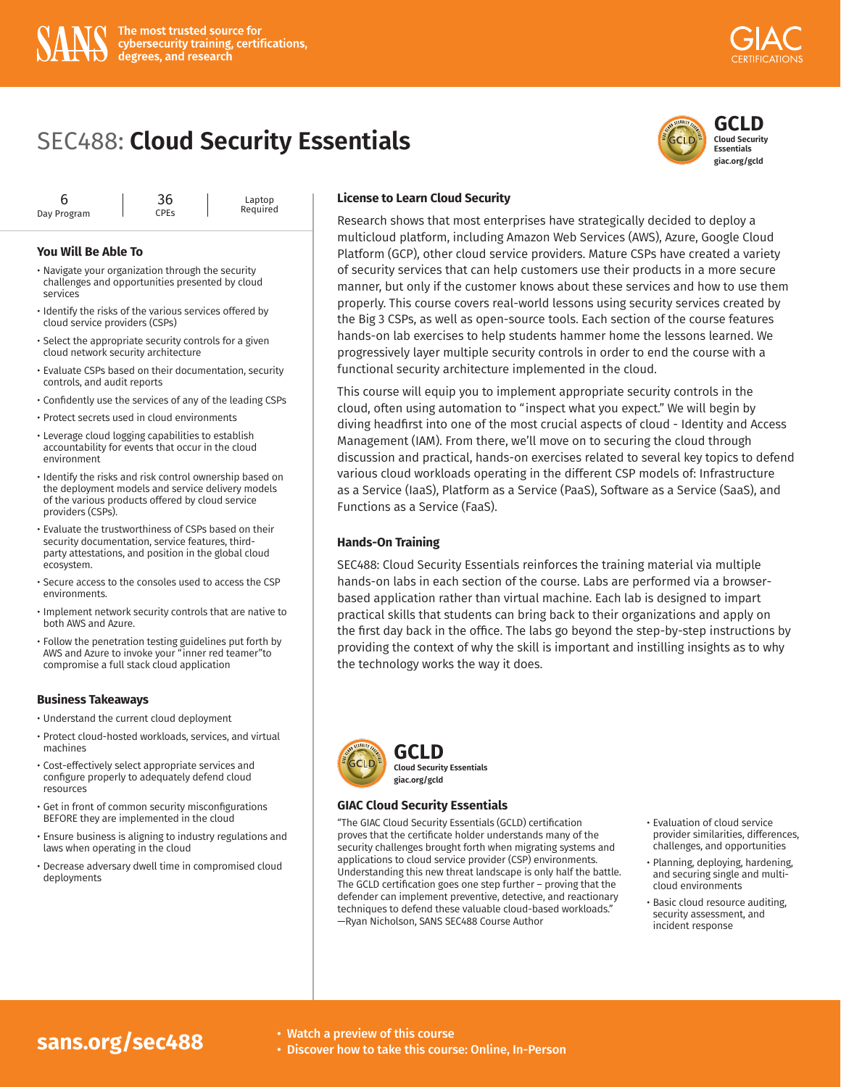

Laptop Required

#### **You Will Be Able To**

- Navigate your organization through the security challenges and opportunities presented by cloud services
- Identify the risks of the various services offered by cloud service providers (CSPs)
- Select the appropriate security controls for a given cloud network security architecture
- Evaluate CSPs based on their documentation, security controls, and audit reports
- Confidently use the services of any of the leading CSPs
- Protect secrets used in cloud environments
- Leverage cloud logging capabilities to establish accountability for events that occur in the cloud environment
- Identify the risks and risk control ownership based on the deployment models and service delivery models of the various products offered by cloud service providers (CSPs).
- Evaluate the trustworthiness of CSPs based on their security documentation, service features, thirdparty attestations, and position in the global cloud ecosystem.
- Secure access to the consoles used to access the CSP environments.
- Implement network security controls that are native to both AWS and Azure.
- Follow the penetration testing guidelines put forth by AWS and Azure to invoke your "inner red teamer"to compromise a full stack cloud application

#### **Business Takeaways**

- Understand the current cloud deployment
- Protect cloud-hosted workloads, services, and virtual machines
- Cost-effectively select appropriate services and configure properly to adequately defend cloud resources
- Get in front of common security misconfigurations BEFORE they are implemented in the cloud
- Ensure business is aligning to industry regulations and laws when operating in the cloud
- Decrease adversary dwell time in compromised cloud deployments

#### **License to Learn Cloud Security**

Research shows that most enterprises have strategically decided to deploy a multicloud platform, including Amazon Web Services (AWS), Azure, Google Cloud Platform (GCP), other cloud service providers. Mature CSPs have created a variety of security services that can help customers use their products in a more secure manner, but only if the customer knows about these services and how to use them properly. This course covers real-world lessons using security services created by the Big 3 CSPs, as well as open-source tools. Each section of the course features hands-on lab exercises to help students hammer home the lessons learned. We progressively layer multiple security controls in order to end the course with a functional security architecture implemented in the cloud.

This course will equip you to implement appropriate security controls in the cloud, often using automation to "inspect what you expect." We will begin by diving headfirst into one of the most crucial aspects of cloud - Identity and Access Management (IAM). From there, we'll move on to securing the cloud through discussion and practical, hands-on exercises related to several key topics to defend various cloud workloads operating in the different CSP models of: Infrastructure as a Service (IaaS), Platform as a Service (PaaS), Software as a Service (SaaS), and Functions as a Service (FaaS).

#### **Hands-On Training**

SEC488: Cloud Security Essentials reinforces the training material via multiple hands-on labs in each section of the course. Labs are performed via a browserbased application rather than virtual machine. Each lab is designed to impart practical skills that students can bring back to their organizations and apply on the first day back in the office. The labs go beyond the step-by-step instructions by providing the context of why the skill is important and instilling insights as to why the technology works the way it does.



**[GCLD](https://www.giac.org/gcld) Cloud Security Essentials giac.org/gcld**

#### **GIAC Cloud Security Essentials**

"The GIAC Cloud Security Essentials (GCLD) certification proves that the certificate holder understands many of the security challenges brought forth when migrating systems and applications to cloud service provider (CSP) environments. [Understanding this new threat landscape is only half the battle.](https://www.giac.org/gcld)  The GCLD certification goes one step further – proving that the defender can implement preventive, detective, and reactionary techniques to defend these valuable cloud-based workloads." —Ryan Nicholson, SANS SEC488 Course Author

- Evaluation of cloud service provider similarities, differences, challenges, and opportunities
- Planning, deploying, hardening, and securing single and multicloud environments
- Basic cloud resource auditing, security assessment, and incident response

# **[sans.org/sec488](https://www.sans.org/cyber-security-courses/cloud-security-essentials/)** • Watch a preview of this course<br>• Discover how to take this cours

• Discover how to take this course: Online, In-Person



**Cloud Security Essentials giac.org/gcld**